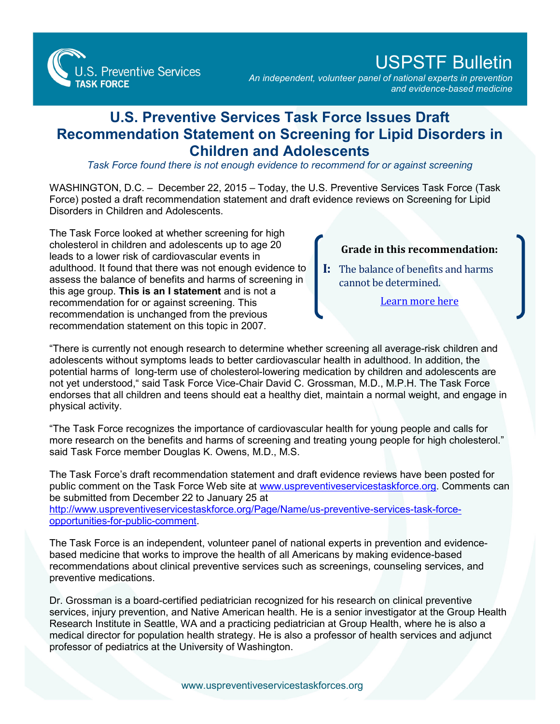

## USPSTF Bulletin

*An independent, volunteer panel of national experts in prevention and evidence-based medicine*

## **U.S. Preventive Services Task Force Issues Draft Recommendation Statement on Screening for Lipid Disorders in Children and Adolescents**

*Task Force found there is not enough evidence to recommend for or against screening*

WASHINGTON, D.C. – December 22, 2015 – Today, the U.S. Preventive Services Task Force (Task Force) posted a draft recommendation statement and draft evidence reviews on Screening for Lipid Disorders in Children and Adolescents.

The Task Force looked at whether screening for high cholesterol in children and adolescents up to age 20 leads to a lower risk of cardiovascular events in adulthood. It found that there was not enough evidence to assess the balance of benefits and harms of screening in this age group. **This is an I statement** and is not a recommendation for or against screening. This recommendation is unchanged from the previous recommendation statement on this topic in 2007.

## **Grade in this recommendation:**

**I:** The balance of benefits and harms cannot be determined.

[Learn more here](http://www.uspreventiveservicestaskforce.org/Page/Name/grade-definitions)

"There is currently not enough research to determine whether screening all average-risk children and adolescents without symptoms leads to better cardiovascular health in adulthood. In addition, the potential harms of long-term use of cholesterol-lowering medication by children and adolescents are not yet understood," said Task Force Vice-Chair David C. Grossman, M.D., M.P.H. The Task Force endorses that all children and teens should eat a healthy diet, maintain a normal weight, and engage in physical activity.

"The Task Force recognizes the importance of cardiovascular health for young people and calls for more research on the benefits and harms of screening and treating young people for high cholesterol." said Task Force member Douglas K. Owens, M.D., M.S.

The Task Force's draft recommendation statement and draft evidence reviews have been posted for public comment on the Task Force Web site at [www.uspreventiveservicestaskforce.org.](http://www.uspreventiveservicestaskforce.org/) Comments can be submitted from December 22 to January 25 at [http://www.uspreventiveservicestaskforce.org/Page/Name/us-preventive-services-task-force](http://www.uspreventiveservicestaskforce.org/Page/Name/us-preventive-services-task-force-opportunities-for-public-comment)opportunities-for-public-comment.

The Task Force is an independent, volunteer panel of national experts in prevention and evidencebased medicine that works to improve the health of all Americans by making evidence-based recommendations about clinical preventive services such as screenings, counseling services, and preventive medications.

Dr. Grossman is a board-certified pediatrician recognized for his research on clinical preventive services, injury prevention, and Native American health. He is a senior investigator at the Group Health Research Institute in Seattle, WA and a practicing pediatrician at Group Health, where he is also a medical director for population health strategy. He is also a professor of health services and adjunct professor of pediatrics at the University of Washington.